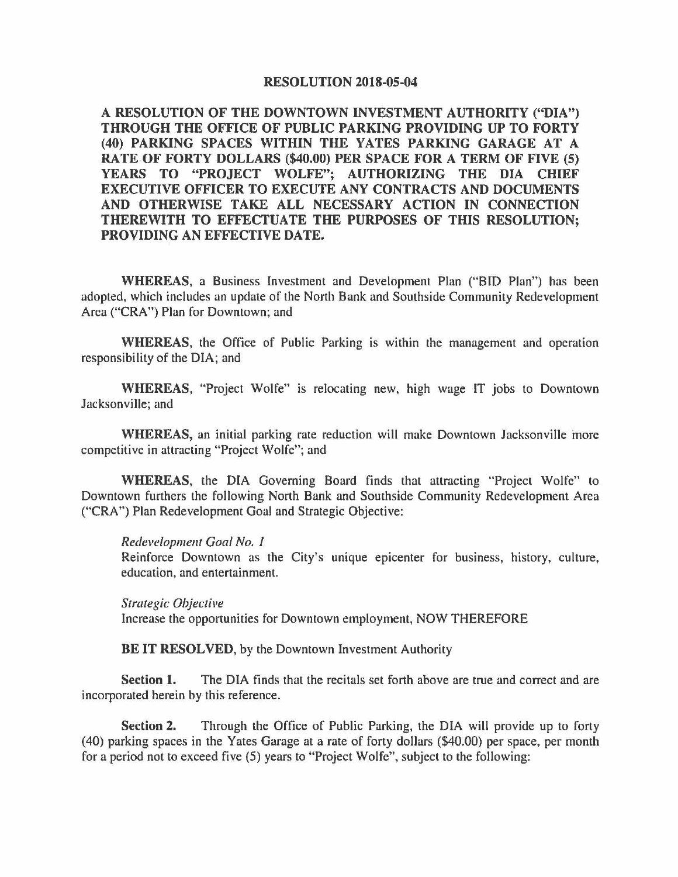## **RESOLUTION 2018-05-04**

**A RESOLUTION OF THE DOWNTOWN INVESTMENT AUTHORITY ("DIA") THROUGH THE OFFICE OF PUBLIC PARKING PROVIDING UP TO FORTY (40) PARKING SPACES WITHIN THE YATES PARKING GARAGE AT A RATE OF FORTY DOLLARS (\$40.00) PER SPACE FOR A TERM OF FIVE (S) YEARS TO "PROJECT WOLFE"; AUTHORIZING THE DIA CHIEF EXECUTIVE OFFICER TO EXECUTE ANY CONTRACTS AND DOCUMENTS AND OTHERWISE TAKE ALL NECESSARY ACTION IN CONNECTION THEREWITH TO EFFECTUATE THE PURPOSES OF THIS RESOLUTION; PROVIDING AN EFFECTIVE DATE.** 

**WHEREAS,** a Business lnvestment and Development Plan ("BID Plan") has been adopted, which includes an update of the North Bank and Southside Community Redevelopment Area ("CRA") Plan for Downtown; and

**WHEREAS,** the Office of Public Parking is within the management and operation responsibility of the DlA; and

**WHEREAS,** "Project Wolfe" 1s relocating new, high wage IT jobs to Downtown Jacksonville; and

**WHEREAS,** an initial parking rate reduction will make Downtown Jacksonville more competitive in attracting "Project Wolfe"; and

**WHEREAS,** the DIA Governing Board finds that attracting "Project Wolfe" to Downtown furthers the following North Bank and Southside Community Redevelopment Area ("CRA") Plan Redevelopment Goal and Strategic Objective:

*Redevelopment Goal No. 1* 

Reinforce Downtown as the City's unique epicenter for business, history, culture, education, and entertainment.

*Strategic Objective*  Increase the opportunities for Downtown employment, NOW THEREFORE

**BE IT RESOLVED, by the Downtown Investment Authority** 

**Section 1.** The DIA finds that the recitals set forth above are true and correct and are incorporated herein by this reference.

**Section 2.** Through the Office of Public Parking, the DIA will provide up to forty (40) parking spaces in the Yates Garage at a rate of forty dollars (\$40.00) per space, per month for a period not to exceed five (5) years to "Project Wolfe", subject to the following: